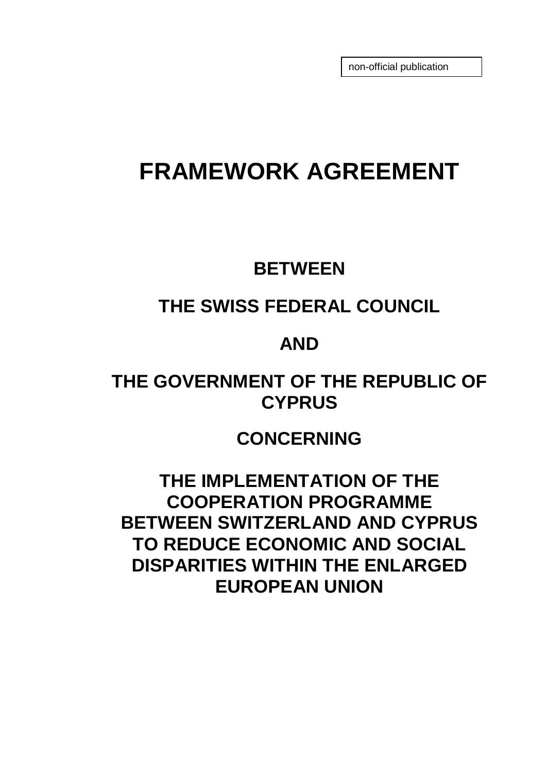non-official publication

# **FRAMEWORK AGREEMENT**

### **BETWEEN**

# **THE SWISS FEDERAL COUNCIL**

## **AND**

# **THE GOVERNMENT OF THE REPUBLIC OF CYPRUS**

# **CONCERNING**

**THE IMPLEMENTATION OF THE COOPERATION PROGRAMME BETWEEN SWITZERLAND AND CYPRUS TO REDUCE ECONOMIC AND SOCIAL DISPARITIES WITHIN THE ENLARGED EUROPEAN UNION**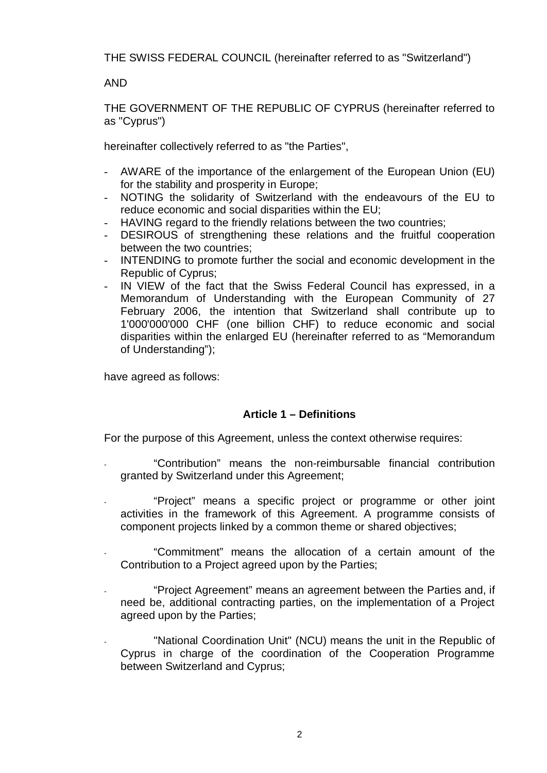THE SWISS FEDERAL COUNCIL (hereinafter referred to as "Switzerland")

AND

THE GOVERNMENT OF THE REPUBLIC OF CYPRUS (hereinafter referred to as "Cyprus")

hereinafter collectively referred to as "the Parties",

- AWARE of the importance of the enlargement of the European Union (EU) for the stability and prosperity in Europe;
- NOTING the solidarity of Switzerland with the endeavours of the EU to reduce economic and social disparities within the EU;
- HAVING regard to the friendly relations between the two countries;
- DESIROUS of strengthening these relations and the fruitful cooperation between the two countries;
- INTENDING to promote further the social and economic development in the Republic of Cyprus;
- IN VIEW of the fact that the Swiss Federal Council has expressed, in a Memorandum of Understanding with the European Community of 27 February 2006, the intention that Switzerland shall contribute up to 1'000'000'000 CHF (one billion CHF) to reduce economic and social disparities within the enlarged EU (hereinafter referred to as "Memorandum of Understanding");

have agreed as follows:

### **Article 1 – Definitions**

For the purpose of this Agreement, unless the context otherwise requires:

- "Contribution" means the non-reimbursable financial contribution granted by Switzerland under this Agreement;
- "Project" means a specific project or programme or other joint activities in the framework of this Agreement. A programme consists of component projects linked by a common theme or shared objectives;
- "Commitment" means the allocation of a certain amount of the Contribution to a Project agreed upon by the Parties;
- "Project Agreement" means an agreement between the Parties and, if need be, additional contracting parties, on the implementation of a Project agreed upon by the Parties;
- "National Coordination Unit" (NCU) means the unit in the Republic of Cyprus in charge of the coordination of the Cooperation Programme between Switzerland and Cyprus;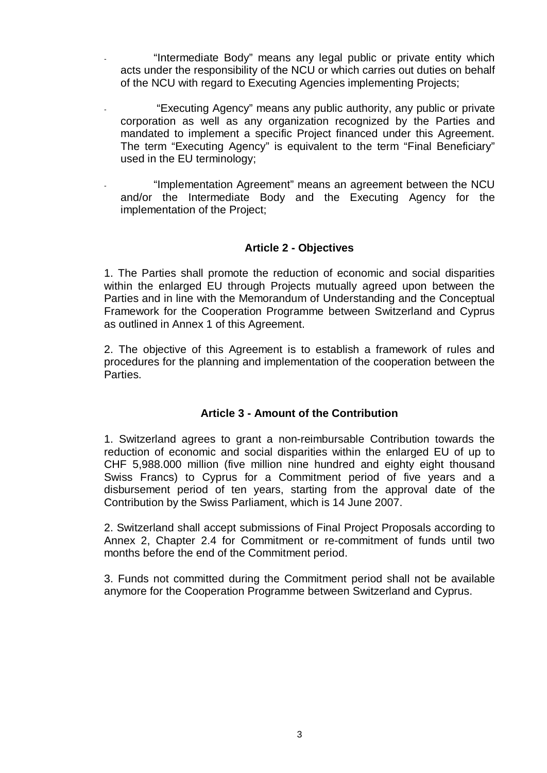"Intermediate Body" means any legal public or private entity which acts under the responsibility of the NCU or which carries out duties on behalf of the NCU with regard to Executing Agencies implementing Projects;

- "Executing Agency" means any public authority, any public or private corporation as well as any organization recognized by the Parties and mandated to implement a specific Project financed under this Agreement. The term "Executing Agency" is equivalent to the term "Final Beneficiary" used in the EU terminology;
- "Implementation Agreement" means an agreement between the NCU and/or the Intermediate Body and the Executing Agency for the implementation of the Project;

### **Article 2 - Objectives**

1. The Parties shall promote the reduction of economic and social disparities within the enlarged EU through Projects mutually agreed upon between the Parties and in line with the Memorandum of Understanding and the Conceptual Framework for the Cooperation Programme between Switzerland and Cyprus as outlined in Annex 1 of this Agreement.

2. The objective of this Agreement is to establish a framework of rules and procedures for the planning and implementation of the cooperation between the Parties.

### **Article 3 - Amount of the Contribution**

1. Switzerland agrees to grant a non-reimbursable Contribution towards the reduction of economic and social disparities within the enlarged EU of up to CHF 5,988.000 million (five million nine hundred and eighty eight thousand Swiss Francs) to Cyprus for a Commitment period of five years and a disbursement period of ten years, starting from the approval date of the Contribution by the Swiss Parliament, which is 14 June 2007.

2. Switzerland shall accept submissions of Final Project Proposals according to Annex 2, Chapter 2.4 for Commitment or re-commitment of funds until two months before the end of the Commitment period.

3. Funds not committed during the Commitment period shall not be available anymore for the Cooperation Programme between Switzerland and Cyprus.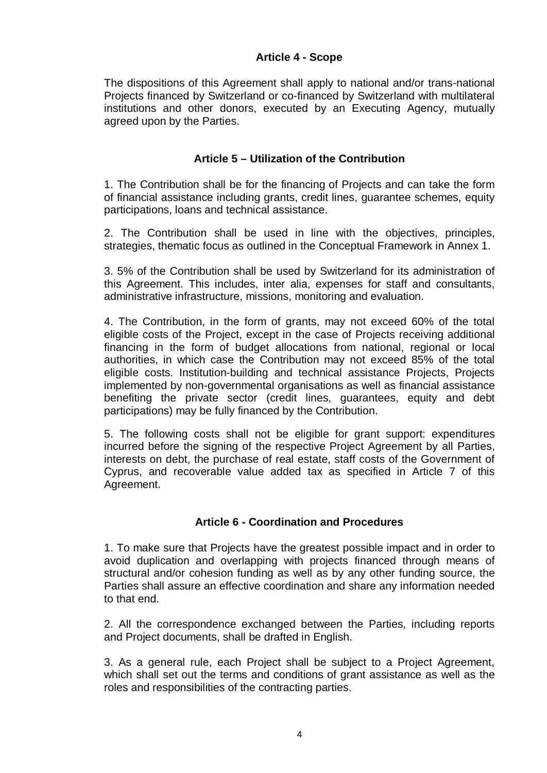### **Article 4 - Scope**

The dispositions of this Agreement shall apply to national and/or trans-national Projects financed by Switzerland or co-financed by Switzerland with multilateral institutions and other donors, executed by an Executing Agency, mutually agreed upon by the Parties.

### **Article 5 – Utilization of the Contribution**

1. The Contribution shall be for the financing of Projects and can take the form of financial assistance including grants, credit lines, guarantee schemes, equity participations, loans and technical assistance.

2. The Contribution shall be used in line with the objectives, principles, strategies, thematic focus as outlined in the Conceptual Framework in Annex 1.

3. 5% of the Contribution shall be used by Switzerland for its administration of this Agreement. This includes, inter alia, expenses for staff and consultants, administrative infrastructure, missions, monitoring and evaluation.

4. The Contribution, in the form of grants, may not exceed 60% of the total eligible costs of the Project, except in the case of Projects receiving additional financing in the form of budget allocations from national, regional or local authorities, in which case the Contribution may not exceed 85% of the total eligible costs. Institution-building and technical assistance Projects, Projects implemented by non-governmental organisations as well as financial assistance benefiting the private sector (credit lines, guarantees, equity and debt participations) may be fully financed by the Contribution.

5. The following costs shall not be eligible for grant support: expenditures incurred before the signing of the respective Project Agreement by all Parties, interests on debt, the purchase of real estate, staff costs of the Government of Cyprus, and recoverable value added tax as specified in Article 7 of this Agreement.

### **Article 6 - Coordination and Procedures**

1. To make sure that Projects have the greatest possible impact and in order to avoid duplication and overlapping with projects financed through means of structural and/or cohesion funding as well as by any other funding source, the Parties shall assure an effective coordination and share any information needed to that end.

2. All the correspondence exchanged between the Parties, including reports and Project documents, shall be drafted in English.

3. As a general rule, each Project shall be subject to a Project Agreement, which shall set out the terms and conditions of grant assistance as well as the roles and responsibilities of the contracting parties.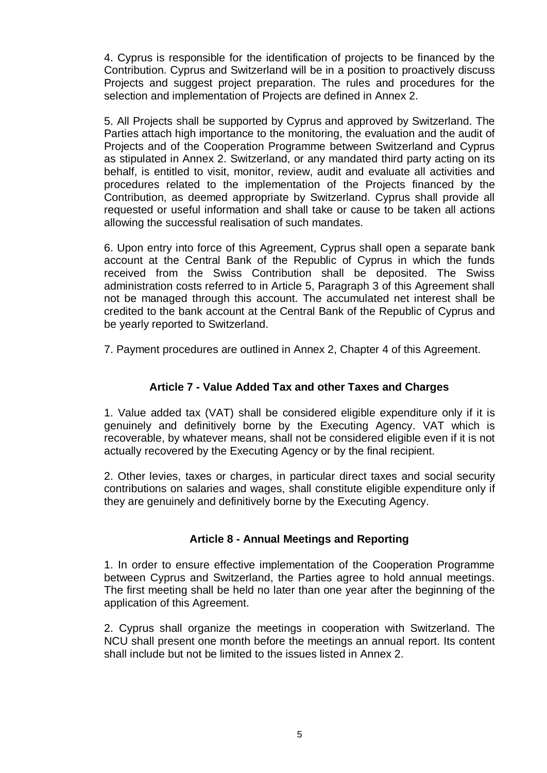4. Cyprus is responsible for the identification of projects to be financed by the Contribution. Cyprus and Switzerland will be in a position to proactively discuss Projects and suggest project preparation. The rules and procedures for the selection and implementation of Projects are defined in Annex 2.

5. All Projects shall be supported by Cyprus and approved by Switzerland. The Parties attach high importance to the monitoring, the evaluation and the audit of Projects and of the Cooperation Programme between Switzerland and Cyprus as stipulated in Annex 2. Switzerland, or any mandated third party acting on its behalf, is entitled to visit, monitor, review, audit and evaluate all activities and procedures related to the implementation of the Projects financed by the Contribution, as deemed appropriate by Switzerland. Cyprus shall provide all requested or useful information and shall take or cause to be taken all actions allowing the successful realisation of such mandates.

6. Upon entry into force of this Agreement, Cyprus shall open a separate bank account at the Central Bank of the Republic of Cyprus in which the funds received from the Swiss Contribution shall be deposited. The Swiss administration costs referred to in Article 5, Paragraph 3 of this Agreement shall not be managed through this account. The accumulated net interest shall be credited to the bank account at the Central Bank of the Republic of Cyprus and be yearly reported to Switzerland.

7. Payment procedures are outlined in Annex 2, Chapter 4 of this Agreement.

### **Article 7 - Value Added Tax and other Taxes and Charges**

1. Value added tax (VAT) shall be considered eligible expenditure only if it is genuinely and definitively borne by the Executing Agency. VAT which is recoverable, by whatever means, shall not be considered eligible even if it is not actually recovered by the Executing Agency or by the final recipient.

2. Other levies, taxes or charges, in particular direct taxes and social security contributions on salaries and wages, shall constitute eligible expenditure only if they are genuinely and definitively borne by the Executing Agency.

### **Article 8 - Annual Meetings and Reporting**

1. In order to ensure effective implementation of the Cooperation Programme between Cyprus and Switzerland, the Parties agree to hold annual meetings. The first meeting shall be held no later than one year after the beginning of the application of this Agreement.

2. Cyprus shall organize the meetings in cooperation with Switzerland. The NCU shall present one month before the meetings an annual report. Its content shall include but not be limited to the issues listed in Annex 2.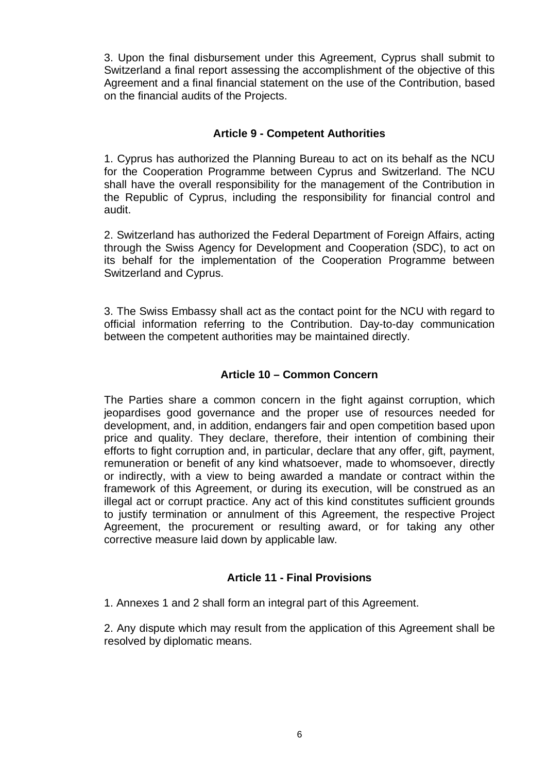3. Upon the final disbursement under this Agreement, Cyprus shall submit to Switzerland a final report assessing the accomplishment of the objective of this Agreement and a final financial statement on the use of the Contribution, based on the financial audits of the Projects.

### **Article 9 - Competent Authorities**

1. Cyprus has authorized the Planning Bureau to act on its behalf as the NCU for the Cooperation Programme between Cyprus and Switzerland. The NCU shall have the overall responsibility for the management of the Contribution in the Republic of Cyprus, including the responsibility for financial control and audit.

2. Switzerland has authorized the Federal Department of Foreign Affairs, acting through the Swiss Agency for Development and Cooperation (SDC), to act on its behalf for the implementation of the Cooperation Programme between Switzerland and Cyprus.

3. The Swiss Embassy shall act as the contact point for the NCU with regard to official information referring to the Contribution. Day-to-day communication between the competent authorities may be maintained directly.

### **Article 10 – Common Concern**

The Parties share a common concern in the fight against corruption, which jeopardises good governance and the proper use of resources needed for development, and, in addition, endangers fair and open competition based upon price and quality. They declare, therefore, their intention of combining their efforts to fight corruption and, in particular, declare that any offer, gift, payment, remuneration or benefit of any kind whatsoever, made to whomsoever, directly or indirectly, with a view to being awarded a mandate or contract within the framework of this Agreement, or during its execution, will be construed as an illegal act or corrupt practice. Any act of this kind constitutes sufficient grounds to justify termination or annulment of this Agreement, the respective Project Agreement, the procurement or resulting award, or for taking any other corrective measure laid down by applicable law.

### **Article 11 - Final Provisions**

1. Annexes 1 and 2 shall form an integral part of this Agreement.

2. Any dispute which may result from the application of this Agreement shall be resolved by diplomatic means.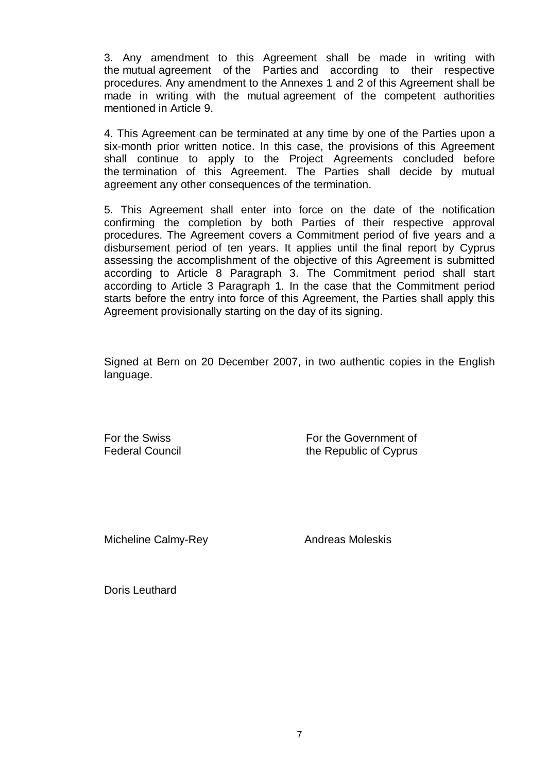3. Any amendment to this Agreement shall be made in writing with the mutual agreement of the Parties and according to their respective procedures. Any amendment to the Annexes 1 and 2 of this Agreement shall be made in writing with the mutual agreement of the competent authorities mentioned in Article 9.

4. This Agreement can be terminated at any time by one of the Parties upon a six-month prior written notice. In this case, the provisions of this Agreement shall continue to apply to the Project Agreements concluded before the termination of this Agreement. The Parties shall decide by mutual agreement any other consequences of the termination.

5. This Agreement shall enter into force on the date of the notification confirming the completion by both Parties of their respective approval procedures. The Agreement covers a Commitment period of five years and a disbursement period of ten years. It applies until the final report by Cyprus assessing the accomplishment of the objective of this Agreement is submitted according to Article 8 Paragraph 3. The Commitment period shall start according to Article 3 Paragraph 1. In the case that the Commitment period starts before the entry into force of this Agreement, the Parties shall apply this Agreement provisionally starting on the day of its signing.

Signed at Bern on 20 December 2007, in two authentic copies in the English language.

For the Swiss **For the Government of** Federal Council **Example 2** the Republic of Cyprus

Micheline Calmy-Rey

Andreas Moleskis

Doris Leuthard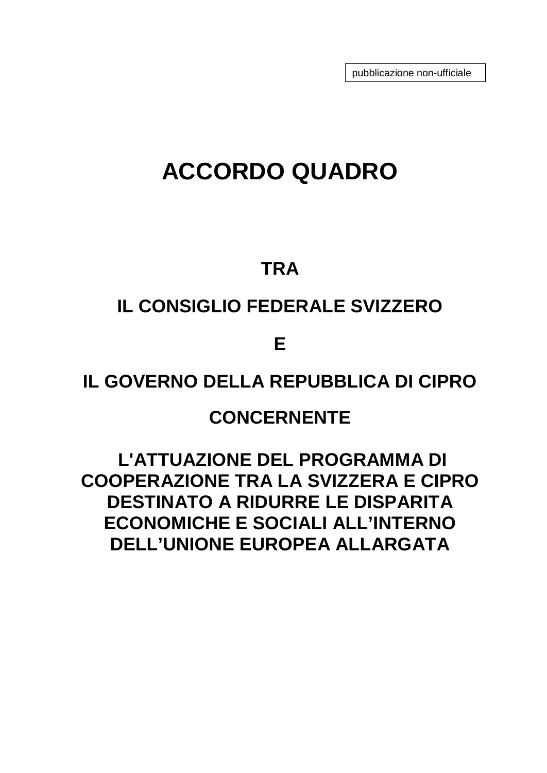pubblicazione non-ufficiale

# **ACCORDO QUADRO**

### **TRA**

# **IL CONSIGLIO FEDERALE SVIZZERO**

**E** 

## **IL GOVERNO DELLA REPUBBLICA DI CIPRO**

### **CONCERNENTE**

**L'ATTUAZIONE DEL PROGRAMMA DI COOPERAZIONE TRA LA SVIZZERA E CIPRO DESTINATO A RIDURRE LE DISPARITA ECONOMICHE E SOCIALI ALL'INTERNO DELL'UNIONE EUROPEA ALLARGATA**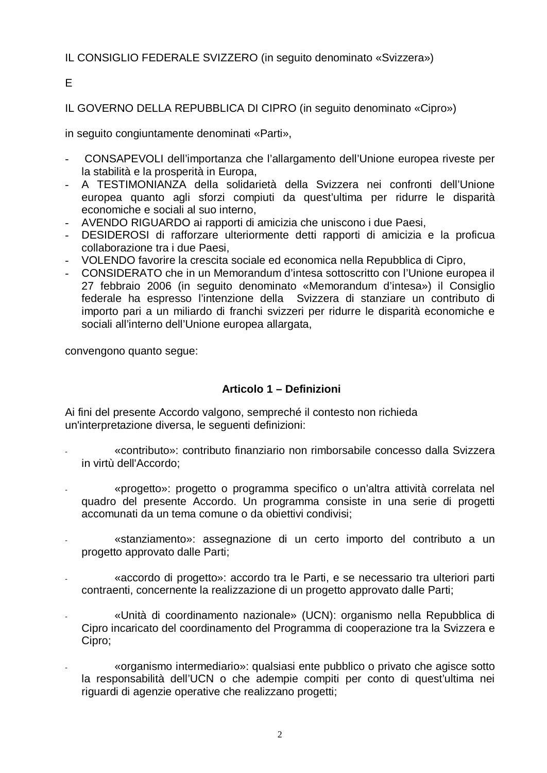### IL CONSIGLIO FEDERALE SVIZZERO (in seguito denominato «Svizzera»)

E

IL GOVERNO DELLA REPUBBLICA DI CIPRO (in seguito denominato «Cipro»)

in seguito congiuntamente denominati «Parti»,

- CONSAPEVOLI dell'importanza che l'allargamento dell'Unione europea riveste per la stabilità e la prosperità in Europa,
- A TESTIMONIANZA della solidarietà della Svizzera nei confronti dell'Unione europea quanto agli sforzi compiuti da quest'ultima per ridurre le disparità economiche e sociali al suo interno,
- AVENDO RIGUARDO ai rapporti di amicizia che uniscono i due Paesi,
- DESIDEROSI di rafforzare ulteriormente detti rapporti di amicizia e la proficua collaborazione tra i due Paesi,
- VOLENDO favorire la crescita sociale ed economica nella Repubblica di Cipro,
- CONSIDERATO che in un Memorandum d'intesa sottoscritto con l'Unione europea il 27 febbraio 2006 (in seguito denominato «Memorandum d'intesa») il Consiglio federale ha espresso l'intenzione della Svizzera di stanziare un contributo di importo pari a un miliardo di franchi svizzeri per ridurre le disparità economiche e sociali all'interno dell'Unione europea allargata,

convengono quanto segue:

### **Articolo 1 – Definizioni**

Ai fini del presente Accordo valgono, sempreché il contesto non richieda un'interpretazione diversa, le seguenti definizioni:

- «contributo»: contributo finanziario non rimborsabile concesso dalla Svizzera in virtù dell'Accordo;
- «progetto»: progetto o programma specifico o un'altra attività correlata nel quadro del presente Accordo. Un programma consiste in una serie di progetti accomunati da un tema comune o da obiettivi condivisi;
- «stanziamento»: assegnazione di un certo importo del contributo a un progetto approvato dalle Parti;
- «accordo di progetto»: accordo tra le Parti, e se necessario tra ulteriori parti contraenti, concernente la realizzazione di un progetto approvato dalle Parti;
- «Unità di coordinamento nazionale» (UCN): organismo nella Repubblica di Cipro incaricato del coordinamento del Programma di cooperazione tra la Svizzera e Cipro;
- «organismo intermediario»: qualsiasi ente pubblico o privato che agisce sotto la responsabilità dell'UCN o che adempie compiti per conto di quest'ultima nei riguardi di agenzie operative che realizzano progetti;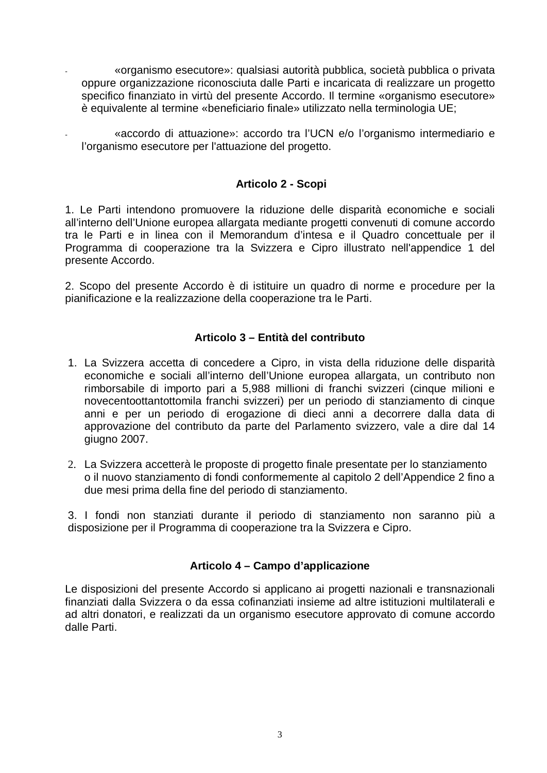- «organismo esecutore»: qualsiasi autorità pubblica, società pubblica o privata oppure organizzazione riconosciuta dalle Parti e incaricata di realizzare un progetto specifico finanziato in virtù del presente Accordo. Il termine «organismo esecutore» è equivalente al termine «beneficiario finale» utilizzato nella terminologia UE;
- «accordo di attuazione»: accordo tra l'UCN e/o l'organismo intermediario e l'organismo esecutore per l'attuazione del progetto.

### **Articolo 2 - Scopi**

1. Le Parti intendono promuovere la riduzione delle disparità economiche e sociali all'interno dell'Unione europea allargata mediante progetti convenuti di comune accordo tra le Parti e in linea con il Memorandum d'intesa e il Quadro concettuale per il Programma di cooperazione tra la Svizzera e Cipro illustrato nell'appendice 1 del presente Accordo.

2. Scopo del presente Accordo è di istituire un quadro di norme e procedure per la pianificazione e la realizzazione della cooperazione tra le Parti.

### **Articolo 3 – Entità del contributo**

- 1. La Svizzera accetta di concedere a Cipro, in vista della riduzione delle disparità economiche e sociali all'interno dell'Unione europea allargata, un contributo non rimborsabile di importo pari a 5,988 millioni di franchi svizzeri (cinque milioni e novecentoottantottomila franchi svizzeri) per un periodo di stanziamento di cinque anni e per un periodo di erogazione di dieci anni a decorrere dalla data di approvazione del contributo da parte del Parlamento svizzero, vale a dire dal 14 giugno 2007.
- 2. La Svizzera accetterà le proposte di progetto finale presentate per lo stanziamento o il nuovo stanziamento di fondi conformemente al capitolo 2 dell'Appendice 2 fino a due mesi prima della fine del periodo di stanziamento.

3. I fondi non stanziati durante il periodo di stanziamento non saranno più a disposizione per il Programma di cooperazione tra la Svizzera e Cipro.

### **Articolo 4 – Campo d'applicazione**

Le disposizioni del presente Accordo si applicano ai progetti nazionali e transnazionali finanziati dalla Svizzera o da essa cofinanziati insieme ad altre istituzioni multilaterali e ad altri donatori, e realizzati da un organismo esecutore approvato di comune accordo dalle Parti.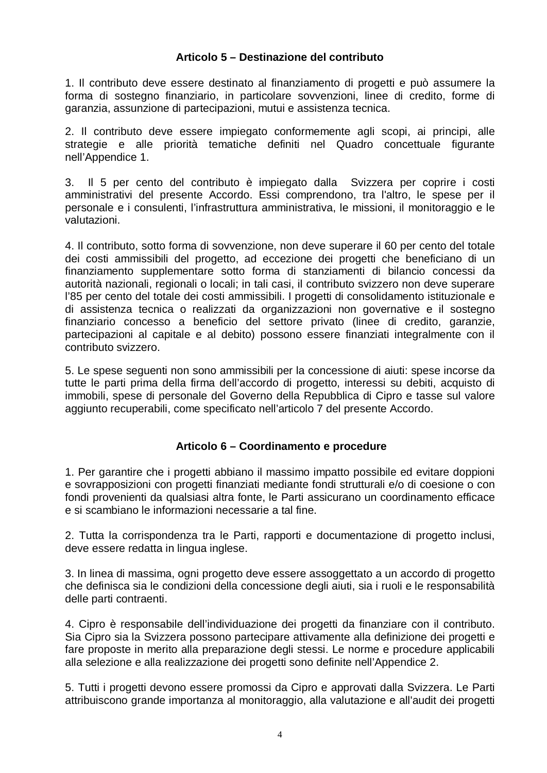### **Articolo 5 – Destinazione del contributo**

1. Il contributo deve essere destinato al finanziamento di progetti e può assumere la forma di sostegno finanziario, in particolare sovvenzioni, linee di credito, forme di garanzia, assunzione di partecipazioni, mutui e assistenza tecnica.

2. Il contributo deve essere impiegato conformemente agli scopi, ai principi, alle strategie e alle priorità tematiche definiti nel Quadro concettuale figurante nell'Appendice 1.

3. Il 5 per cento del contributo è impiegato dalla Svizzera per coprire i costi amministrativi del presente Accordo. Essi comprendono, tra l'altro, le spese per il personale e i consulenti, l'infrastruttura amministrativa, le missioni, il monitoraggio e le valutazioni.

4. Il contributo, sotto forma di sovvenzione, non deve superare il 60 per cento del totale dei costi ammissibili del progetto, ad eccezione dei progetti che beneficiano di un finanziamento supplementare sotto forma di stanziamenti di bilancio concessi da autorità nazionali, regionali o locali; in tali casi, il contributo svizzero non deve superare l'85 per cento del totale dei costi ammissibili. I progetti di consolidamento istituzionale e di assistenza tecnica o realizzati da organizzazioni non governative e il sostegno finanziario concesso a beneficio del settore privato (linee di credito, garanzie, partecipazioni al capitale e al debito) possono essere finanziati integralmente con il contributo svizzero.

5. Le spese seguenti non sono ammissibili per la concessione di aiuti: spese incorse da tutte le parti prima della firma dell'accordo di progetto, interessi su debiti, acquisto di immobili, spese di personale del Governo della Repubblica di Cipro e tasse sul valore aggiunto recuperabili, come specificato nell'articolo 7 del presente Accordo.

### **Articolo 6 – Coordinamento e procedure**

1. Per garantire che i progetti abbiano il massimo impatto possibile ed evitare doppioni e sovrapposizioni con progetti finanziati mediante fondi strutturali e/o di coesione o con fondi provenienti da qualsiasi altra fonte, le Parti assicurano un coordinamento efficace e si scambiano le informazioni necessarie a tal fine.

2. Tutta la corrispondenza tra le Parti, rapporti e documentazione di progetto inclusi, deve essere redatta in lingua inglese.

3. In linea di massima, ogni progetto deve essere assoggettato a un accordo di progetto che definisca sia le condizioni della concessione degli aiuti, sia i ruoli e le responsabilità delle parti contraenti.

4. Cipro è responsabile dell'individuazione dei progetti da finanziare con il contributo. Sia Cipro sia la Svizzera possono partecipare attivamente alla definizione dei progetti e fare proposte in merito alla preparazione degli stessi. Le norme e procedure applicabili alla selezione e alla realizzazione dei progetti sono definite nell'Appendice 2.

5. Tutti i progetti devono essere promossi da Cipro e approvati dalla Svizzera. Le Parti attribuiscono grande importanza al monitoraggio, alla valutazione e all'audit dei progetti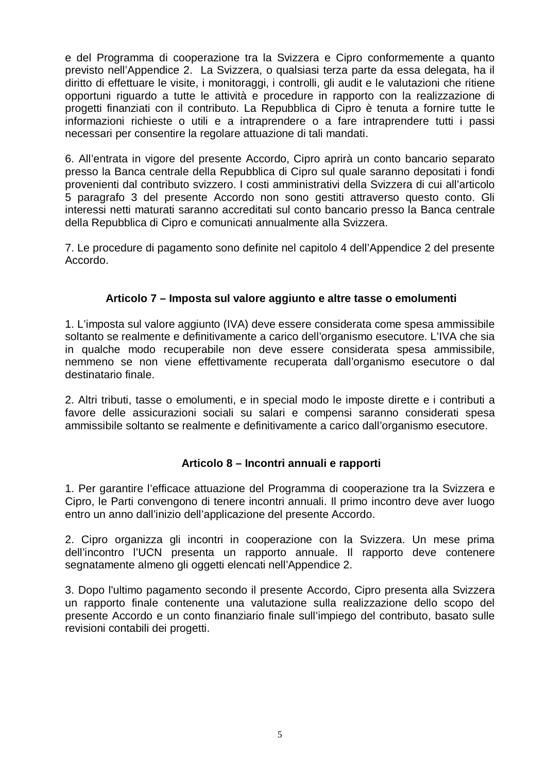e del Programma di cooperazione tra la Svizzera e Cipro conformemente a quanto previsto nell'Appendice 2. La Svizzera, o qualsiasi terza parte da essa delegata, ha il diritto di effettuare le visite, i monitoraggi, i controlli, gli audit e le valutazioni che ritiene opportuni riguardo a tutte le attività e procedure in rapporto con la realizzazione di progetti finanziati con il contributo. La Repubblica di Cipro è tenuta a fornire tutte le informazioni richieste o utili e a intraprendere o a fare intraprendere tutti i passi necessari per consentire la regolare attuazione di tali mandati.

6. All'entrata in vigore del presente Accordo, Cipro aprirà un conto bancario separato presso la Banca centrale della Repubblica di Cipro sul quale saranno depositati i fondi provenienti dal contributo svizzero. I costi amministrativi della Svizzera di cui all'articolo 5 paragrafo 3 del presente Accordo non sono gestiti attraverso questo conto. Gli interessi netti maturati saranno accreditati sul conto bancario presso la Banca centrale della Repubblica di Cipro e comunicati annualmente alla Svizzera.

7. Le procedure di pagamento sono definite nel capitolo 4 dell'Appendice 2 del presente Accordo.

### **Articolo 7 – Imposta sul valore aggiunto e altre tasse o emolumenti**

1. L'imposta sul valore aggiunto (IVA) deve essere considerata come spesa ammissibile soltanto se realmente e definitivamente a carico dell'organismo esecutore. L'IVA che sia in qualche modo recuperabile non deve essere considerata spesa ammissibile, nemmeno se non viene effettivamente recuperata dall'organismo esecutore o dal destinatario finale.

2. Altri tributi, tasse o emolumenti, e in special modo le imposte dirette e i contributi a favore delle assicurazioni sociali su salari e compensi saranno considerati spesa ammissibile soltanto se realmente e definitivamente a carico dall'organismo esecutore.

### **Articolo 8 – Incontri annuali e rapporti**

1. Per garantire l'efficace attuazione del Programma di cooperazione tra la Svizzera e Cipro, le Parti convengono di tenere incontri annuali. Il primo incontro deve aver luogo entro un anno dall'inizio dell'applicazione del presente Accordo.

2. Cipro organizza gli incontri in cooperazione con la Svizzera. Un mese prima dell'incontro l'UCN presenta un rapporto annuale. Il rapporto deve contenere segnatamente almeno gli oggetti elencati nell'Appendice 2.

3. Dopo l'ultimo pagamento secondo il presente Accordo, Cipro presenta alla Svizzera un rapporto finale contenente una valutazione sulla realizzazione dello scopo del presente Accordo e un conto finanziario finale sull'impiego del contributo, basato sulle revisioni contabili dei progetti.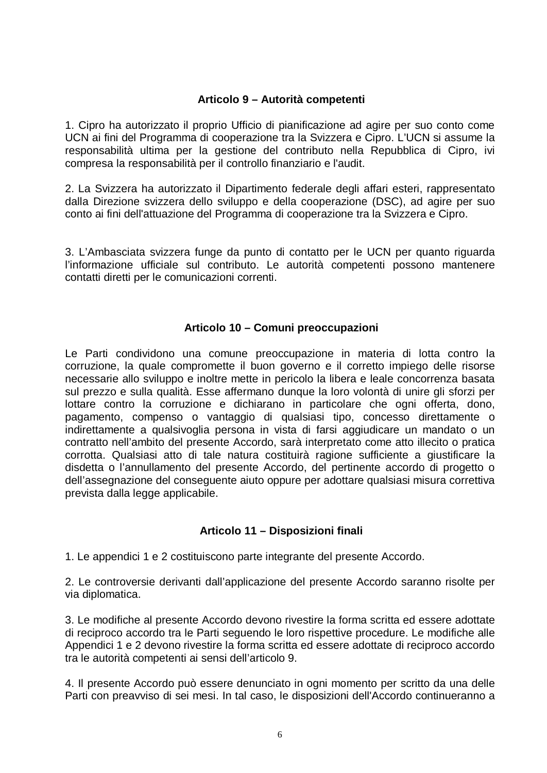### **Articolo 9 – Autorità competenti**

1. Cipro ha autorizzato il proprio Ufficio di pianificazione ad agire per suo conto come UCN ai fini del Programma di cooperazione tra la Svizzera e Cipro. L'UCN si assume la responsabilità ultima per la gestione del contributo nella Repubblica di Cipro, ivi compresa la responsabilità per il controllo finanziario e l'audit.

2. La Svizzera ha autorizzato il Dipartimento federale degli affari esteri, rappresentato dalla Direzione svizzera dello sviluppo e della cooperazione (DSC), ad agire per suo conto ai fini dell'attuazione del Programma di cooperazione tra la Svizzera e Cipro.

3. L'Ambasciata svizzera funge da punto di contatto per le UCN per quanto riguarda l'informazione ufficiale sul contributo. Le autorità competenti possono mantenere contatti diretti per le comunicazioni correnti.

### **Articolo 10 – Comuni preoccupazioni**

Le Parti condividono una comune preoccupazione in materia di lotta contro la corruzione, la quale compromette il buon governo e il corretto impiego delle risorse necessarie allo sviluppo e inoltre mette in pericolo la libera e leale concorrenza basata sul prezzo e sulla qualità. Esse affermano dunque la loro volontà di unire gli sforzi per lottare contro la corruzione e dichiarano in particolare che ogni offerta, dono, pagamento, compenso o vantaggio di qualsiasi tipo, concesso direttamente o indirettamente a qualsivoglia persona in vista di farsi aggiudicare un mandato o un contratto nell'ambito del presente Accordo, sarà interpretato come atto illecito o pratica corrotta. Qualsiasi atto di tale natura costituirà ragione sufficiente a giustificare la disdetta o l'annullamento del presente Accordo, del pertinente accordo di progetto o dell'assegnazione del conseguente aiuto oppure per adottare qualsiasi misura correttiva prevista dalla legge applicabile.

### **Articolo 11 – Disposizioni finali**

1. Le appendici 1 e 2 costituiscono parte integrante del presente Accordo.

2. Le controversie derivanti dall'applicazione del presente Accordo saranno risolte per via diplomatica.

3. Le modifiche al presente Accordo devono rivestire la forma scritta ed essere adottate di reciproco accordo tra le Parti seguendo le loro rispettive procedure. Le modifiche alle Appendici 1 e 2 devono rivestire la forma scritta ed essere adottate di reciproco accordo tra le autorità competenti ai sensi dell'articolo 9.

4. Il presente Accordo può essere denunciato in ogni momento per scritto da una delle Parti con preavviso di sei mesi. In tal caso, le disposizioni dell'Accordo continueranno a